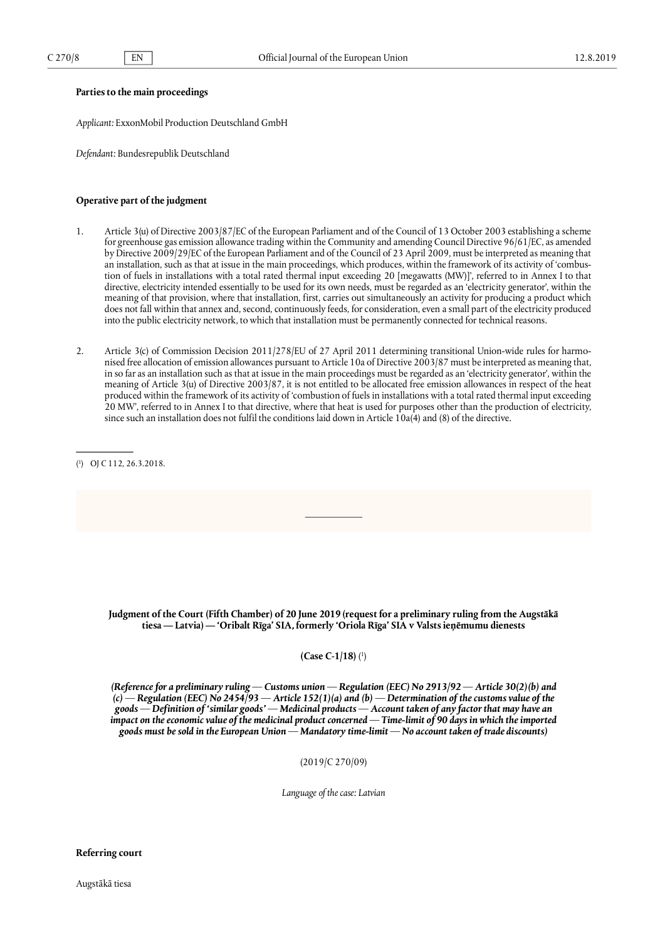## **Parties to the main proceedings**

*Applicant:* ExxonMobil Production Deutschland GmbH

*Defendant:* Bundesrepublik Deutschland

## **Operative part of the judgment**

- 1. Article 3(u) of Directive 2003/87/EC of the European Parliament and of the Council of 13 October 2003 establishing a scheme for greenhouse gas emission allowance trading within the Community and amending Council Directive 96/61/EC, as amended by Directive 2009/29/EC of the European Parliament and of the Council of 23 April 2009, must be interpreted as meaning that an installation, such as that at issue in the main proceedings, which produces, within the framework of its activity of 'combustion of fuels in installations with a total rated thermal input exceeding 20 [megawatts (MW)]', referred to in Annex I to that directive, electricity intended essentially to be used for its own needs, must be regarded as an 'electricity generator', within the meaning of that provision, where that installation, first, carries out simultaneously an activity for producing a product which does not fall within that annex and, second, continuously feeds, for consideration, even a small part of the electricity produced into the public electricity network, to which that installation must be permanently connected for technical reasons.
- 2. Article 3(c) of Commission Decision 2011/278/EU of 27 April 2011 determining transitional Union-wide rules for harmonised free allocation of emission allowances pursuant to Article 10a of Directive 2003/87 must be interpreted as meaning that, in so far as an installation such as that at issue in the main proceedings must be regarded as an 'electricity generator', within the meaning of Article 3(u) of Directive 2003/87, it is not entitled to be allocated free emission allowances in respect of the heat produced within the framework of its activity of 'combustion of fuels in installations with a total rated thermal input exceeding 20 MW', referred to in Annex I to that directive, where that heat is used for purposes other than the production of electricity, since such an installation does not fulfil the conditions laid down in Article 10a(4) and (8) of the directive.

Judgment of the Court (Fifth Chamber) of 20 June 2019 (request for a preliminary ruling from the Augstākā **tiesa — Latvia) — 'Oribalt Rīga' SIA, formerly 'Oriola Rīga' SIA v Valsts ieņēmumu dienests**

**(Case C-1/18)** ( [1](#page-1-0))

<span id="page-0-0"></span>*(Reference for a preliminary ruling — Customs union — Regulation (EEC) No 2913/92 — Article 30(2)(b) and (c) — Regulation (EEC) No 2454/93 — Article 152(1)(a) and (b) — Determination of the customs value of the goods — Definition of 'similar goods' — Medicinal products — Account taken of any factor that may have an impact on the economic value of the medicinal product concerned — Time-limit of 90 days in which the imported goods must be sold in the European Union — Mandatory time-limit — No account taken of trade discounts)*

(2019/C 270/09)

*Language of the case: Latvian*

**Referring court**

<sup>(</sup> 1) OJ C 112, 26.3.2018.